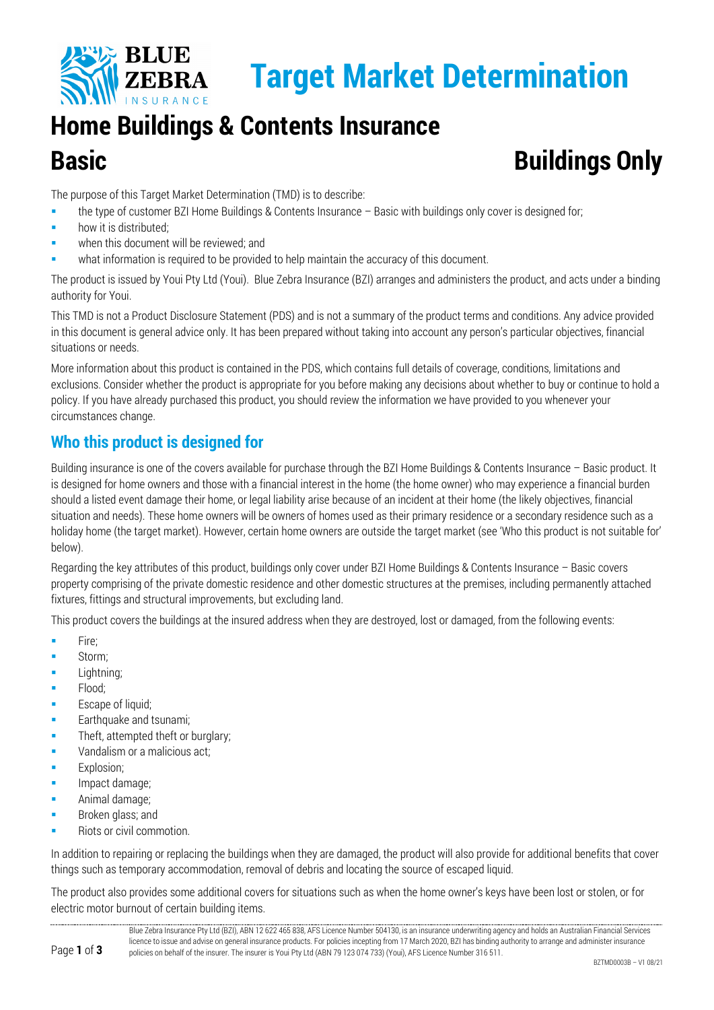

# **Home Buildings & Contents Insurance Basic Buildings Only**

The purpose of this Target Market Determination (TMD) is to describe:

- the type of customer BZI Home Buildings & Contents Insurance Basic with buildings only cover is designed for;
- **how it is distributed;**
- when this document will be reviewed; and
- what information is required to be provided to help maintain the accuracy of this document.

The product is issued by Youi Pty Ltd (Youi). Blue Zebra Insurance (BZI) arranges and administers the product, and acts under a binding authority for Youi.

This TMD is not a Product Disclosure Statement (PDS) and is not a summary of the product terms and conditions. Any advice provided in this document is general advice only. It has been prepared without taking into account any person's particular objectives, financial situations or needs.

More information about this product is contained in the PDS, which contains full details of coverage, conditions, limitations and exclusions. Consider whether the product is appropriate for you before making any decisions about whether to buy or continue to hold a policy. If you have already purchased this product, you should review the information we have provided to you whenever your circumstances change.

# **Who this product is designed for**

Building insurance is one of the covers available for purchase through the BZI Home Buildings & Contents Insurance – Basic product. It is designed for home owners and those with a financial interest in the home (the home owner) who may experience a financial burden should a listed event damage their home, or legal liability arise because of an incident at their home (the likely objectives, financial situation and needs). These home owners will be owners of homes used as their primary residence or a secondary residence such as a holiday home (the target market). However, certain home owners are outside the target market (see 'Who this product is not suitable for' below).

Regarding the key attributes of this product, buildings only cover under BZI Home Buildings & Contents Insurance – Basic covers property comprising of the private domestic residence and other domestic structures at the premises, including permanently attached fixtures, fittings and structural improvements, but excluding land.

This product covers the buildings at the insured address when they are destroyed, lost or damaged, from the following events:

- **Fire:**
- Storm;
- **Lightning**;
- **Flood**;
- Escape of liquid;
- **Earthquake and tsunami;**
- **Theft, attempted theft or burglary;**
- Vandalism or a malicious act;
- Explosion;
- **Impact damage;**
- Animal damage;
- Broken glass; and
- Riots or civil commotion.

In addition to repairing or replacing the buildings when they are damaged, the product will also provide for additional benefits that cover things such as temporary accommodation, removal of debris and locating the source of escaped liquid.

The product also provides some additional covers for situations such as when the home owner's keys have been lost or stolen, or for electric motor burnout of certain building items.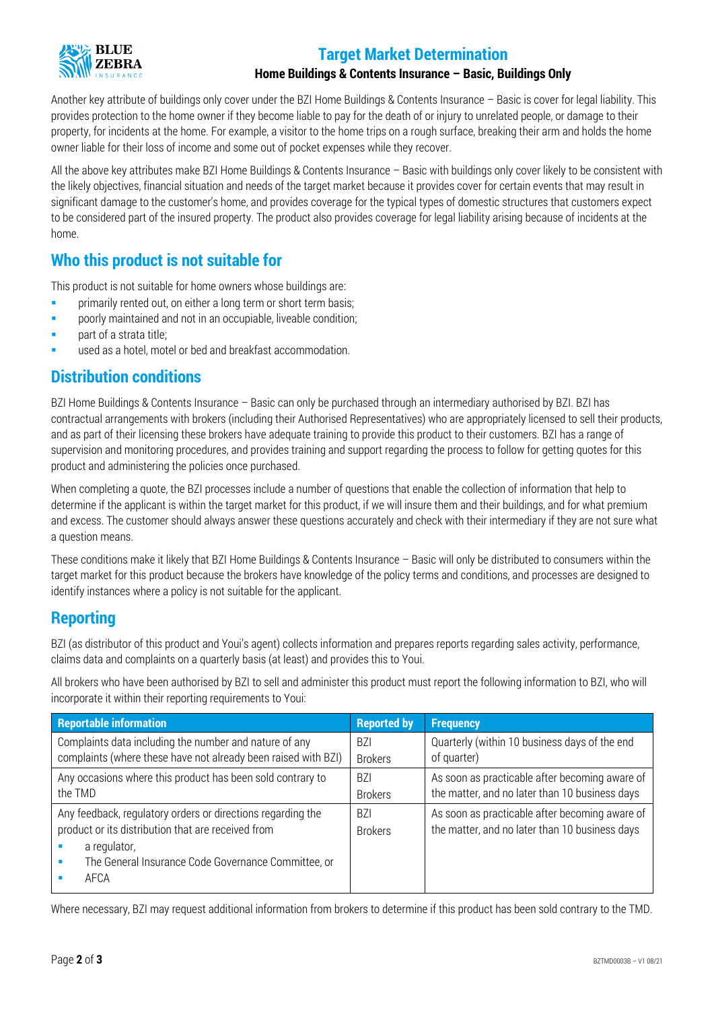

## **Target Market Determination**

#### **Home Buildings & Contents Insurance – Basic, Buildings Only**

Another key attribute of buildings only cover under the BZI Home Buildings & Contents Insurance – Basic is cover for legal liability. This provides protection to the home owner if they become liable to pay for the death of or injury to unrelated people, or damage to their property, for incidents at the home. For example, a visitor to the home trips on a rough surface, breaking their arm and holds the home owner liable for their loss of income and some out of pocket expenses while they recover.

All the above key attributes make BZI Home Buildings & Contents Insurance – Basic with buildings only cover likely to be consistent with the likely objectives, financial situation and needs of the target market because it provides cover for certain events that may result in significant damage to the customer's home, and provides coverage for the typical types of domestic structures that customers expect to be considered part of the insured property. The product also provides coverage for legal liability arising because of incidents at the home.

### **Who this product is not suitable for**

This product is not suitable for home owners whose buildings are:

- **Fig. 2** primarily rented out, on either a long term or short term basis;
- **Phonorly maintained and not in an occupiable, liveable condition;**
- part of a strata title;
- used as a hotel, motel or bed and breakfast accommodation.

#### **Distribution conditions**

BZI Home Buildings & Contents Insurance – Basic can only be purchased through an intermediary authorised by BZI. BZI has contractual arrangements with brokers (including their Authorised Representatives) who are appropriately licensed to sell their products, and as part of their licensing these brokers have adequate training to provide this product to their customers. BZI has a range of supervision and monitoring procedures, and provides training and support regarding the process to follow for getting quotes for this product and administering the policies once purchased.

When completing a quote, the BZI processes include a number of questions that enable the collection of information that help to determine if the applicant is within the target market for this product, if we will insure them and their buildings, and for what premium and excess. The customer should always answer these questions accurately and check with their intermediary if they are not sure what a question means.

These conditions make it likely that BZI Home Buildings & Contents Insurance – Basic will only be distributed to consumers within the target market for this product because the brokers have knowledge of the policy terms and conditions, and processes are designed to identify instances where a policy is not suitable for the applicant.

#### **Reporting**

BZI (as distributor of this product and Youi's agent) collects information and prepares reports regarding sales activity, performance, claims data and complaints on a quarterly basis (at least) and provides this to Youi.

All brokers who have been authorised by BZI to sell and administer this product must report the following information to BZI, who will incorporate it within their reporting requirements to Youi:

| <b>Reportable information</b>                                                                                                                                                                    | <b>Reported by</b>           | <b>Frequency</b>                                                                                 |
|--------------------------------------------------------------------------------------------------------------------------------------------------------------------------------------------------|------------------------------|--------------------------------------------------------------------------------------------------|
| Complaints data including the number and nature of any                                                                                                                                           | <b>BZI</b>                   | Quarterly (within 10 business days of the end                                                    |
| complaints (where these have not already been raised with BZI)                                                                                                                                   | <b>Brokers</b>               | of quarter)                                                                                      |
| Any occasions where this product has been sold contrary to                                                                                                                                       | <b>BZI</b>                   | As soon as practicable after becoming aware of                                                   |
| the TMD                                                                                                                                                                                          | <b>Brokers</b>               | the matter, and no later than 10 business days                                                   |
| Any feedback, regulatory orders or directions regarding the<br>product or its distribution that are received from<br>a regulator,<br>The General Insurance Code Governance Committee, or<br>AFCA | <b>BZI</b><br><b>Brokers</b> | As soon as practicable after becoming aware of<br>the matter, and no later than 10 business days |

Where necessary, BZI may request additional information from brokers to determine if this product has been sold contrary to the TMD.